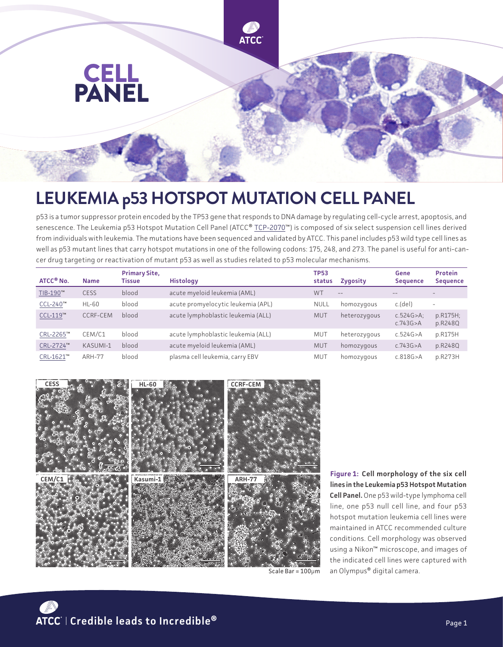

## **LEUKEMIA p53 HOTSPOT MUTATION CELL PANEL**

p53 is a tumor suppressor protein encoded by the TP53 gene that responds to DNA damage by regulating cell-cycle arrest, apoptosis, and senescence. The Leukemia p53 Hotspot Mutation Cell Panel (ATCC® [TCP-2070™](https://www.atcc.org/products/tcp-2070)) is composed of six select suspension cell lines derived from individuals with leukemia. The mutations have been sequenced and validated by ATCC. This panel includes p53 wild type cell lines as well as p53 mutant lines that carry hotspot mutations in one of the following codons: 175, 248, and 273. The panel is useful for anti-cancer drug targeting or reactivation of mutant p53 as well as studies related to p53 molecular mechanisms.

| ATCC <sup>®</sup> No. | <b>Name</b>   | <b>Primary Site,</b><br><b>Tissue</b> | <b>Histology</b>                   | <b>TP53</b><br>status | <b>Zygosity</b> | Gene<br><b>Sequence</b>      | <b>Protein</b><br><b>Sequence</b> |
|-----------------------|---------------|---------------------------------------|------------------------------------|-----------------------|-----------------|------------------------------|-----------------------------------|
| TIB-190™              | <b>CESS</b>   | blood                                 | acute myeloid leukemia (AML)       | <b>WT</b>             | $---$           |                              |                                   |
| CCL-240™              | HL-60         | blood                                 | acute promyelocytic leukemia (APL) | <b>NULL</b>           | homozygous      | c.(del)                      | $\overline{\phantom{a}}$          |
| CCL-119™              | CCRF-CEM      | blood                                 | acute lymphoblastic leukemia (ALL) | <b>MUT</b>            | heterozygous    | $c.524G > A$ :<br>c.743G > A | p.R175H;<br>p.R248Q               |
| CRL-2265™             | CEM/C1        | blood                                 | acute lymphoblastic leukemia (ALL) | <b>MUT</b>            | heterozygous    | c.524G > A                   | p.R175H                           |
| CRL-2724™             | KASUMI-1      | blood                                 | acute myeloid leukemia (AML)       | <b>MUT</b>            | homozygous      | c.743G > A                   | p.R248Q                           |
| CRL-1621™             | <b>ARH-77</b> | blood                                 | plasma cell leukemia, carry EBV    | MUT                   | homozygous      | c.818G > A                   | p.R273H                           |



**Figure 1: Cell morphology of the six cell lines in the Leukemia p53 Hotspot Mutation Cell Panel.** One p53 wild-type lymphoma cell line, one p53 null cell line, and four p53 hotspot mutation leukemia cell lines were maintained in ATCC recommended culture conditions. Cell morphology was observed using a Nikon™ microscope, and images of the indicated cell lines were captured with an Olympus® digital camera.